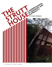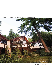When you first visit the Strutt House, an oasis less than 15 minutes from Ottawa's downtown core, there is no doubt you are approaching an unusual home.

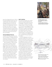

James Strutt designed the house in 1955-56 for his growing family. Perched on the most southerly slope of the Gatineau Hills, the unique geometric form protrudes from the hillside, well below its crest yet still with a view to the valley below. The skyline of Ottawa is just visible on the horizon. The climb up to the house was originally 119 steps that followed the natural contours of the hill. A new staircase added by Strutt's daughter (the current occupant) makes the ascent easier, but the house and site still leave you breathless.

### **THE MAN BEHIND THE PLAN**

During the mid-1950s, James W. Strutt was seen as a rising star in Canadian architecture. He spent his early years in Pembroke and Ottawa before attending the University of Toronto's School of Architecture following his war service in the Canadian Air Force.

After his graduation in 1950, his professional career as a Canadian modernist architect was meteoric. His geometric design influences came from Frank Lloyd Wright's organic approach and Buckminster Fuller's space-frame structures. At the time the Strutt House was built, he had just been elected Chair of the Ontario Association of Architects, the youngest Chair in its history.

Strutt's style, evident in his many and varied commissions, involved complex geometries and weight-efficient structures sensitively integrated into their natural environment. Those ideals evolved into a very distinct reflection of the man and his time and place.

#### **PARTY CENTRAL**

Strutt and his wife Audrey were a striking couple who frequently appeared in the society pages of the day. Strutt, described as tall and lean, was likened to a dashing racing car driver or TV host. The couple was renowned for attending galas and hosting great parties. They both had keen minds with interests running from anthropology to municipal zoning. They often travelled to the opposite end of the continent, even if just for a day, to catch a prominent modernist thinker, an avant-garde jazz musician or a contemporary art exhibition. Both were committed to their growing family of four children.

For Strutt, designing his own home presented an opportunity to create a house that met his and Audrey's needs in a modernist form. His senior partner, Bill Gilleland, encouraged him to work on a couple of modern International Style homes. Strutt decided to bring some of those modern concepts together with a more Canadian palette of materials and his interest in non-orthogonal geometries (curved or non-perpendicular lines), thought to help free up the intellect of the inhabitants.

By the 1960s, the Strutt House became one of the social destinations of its day, attracting the "who's who" of Ottawa society, from architects, developers and academics to embassy staff, members of the press and members of Parliament including Pierre Trudeau who, according to Strutt, was remembered for some elegant late-night dives into the pool.

The original approach to the protruding geometric-shaped house followed the contours of the hillside.

*Le sentier original menant à la maison géométrique protubérante suivait les contours de la colline.*



Detailed preliminary sketch of the house in its natural setting.

*Croquis préliminaire détaillé de la maison dans son cadre naturel.*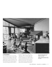

# **A STAR EMERGES**

The swimming pool and its surrounding deck are the first things you notice on the climb up to the Strutt House. The offset angular planes of the front façade on the plateau above quickly come into view. The lower walls mimic the mountain's granite outcrops, thrusting up off the surface of

the hill. The upper wall—a tall expanse of glazing—reflects multiple angles of the canopy of trees you are moving through. You are immediately aware of the surrounding natural environment and the unusual geometry of the house. This is the first of many contrary and yet reciprocal relationships that Strutt exploited in this project.

James and Audrey Strutt in the living room with children and friends, circa 1958.

*James et Audrey Strutt avec leurs enfants et des amis dans le salon, vers 1958.*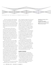

DISPOSITION OF SHELLS IN FRONT ELEVATION

The house is placed to take advantage of the four natural plateaus that sculpt the hill. At the front, where the slope drops away, wood posts rise up from the footings, lifting the structure and giving the forward, public areas of the home a sense of being cantilevered out over and into the forest below.

The lower portion of the house is skirted with a dark-stained cedar, which accentuates the raised horizontal line of the main level and serves to ground the building visually. This plateau also accommodates the concrete block central core that encloses the service/utility spaces and most of the kitchen and circulation areas. A large fireplace projects out from the core, the hearth capped by custom metalwork created by a local artisan.

The back of the house is on the upper plateau and holds the private areas of the home, the bedrooms and bathroom. Set among rocky outcrops and tree trunks about a metre higher than the front area, it sits flat on grade, appearing almost in the hill. Here the house seems anchored to the site.

Mixed deciduous and coniferous trees encircle the house. Other than the clearing for the building footprint, trees were left where they stood and they populate the beautiful gardens that were meticulously planned by Audrey to reveal the plethora of indigenous plants from the area. The variety of blooms and flora add colour and depth to the forest floor. Groupings of perennials seem uncontrived, their transition to the natural surrounding undergrowth almost imperceptible.

Glancing up, you notice that the building straddles the upper two plateaus of the

slope. Triangular footings tied to the natural granite bedrock play off the triangulated form of the house. The central core has a poured foundation with beams that radiate out to posts set along the perimeter footings. These beams support 2-inchby-10-inch joists that form both the upper and lower platforms. This design minimizes the potential of racking or twisting of the structure without using cross ties.

A rabbeted 2-inch-by-6-inch board was the standardized element used throughout the structure. This pre-cut unit was used to create all sills, heads, plates and jambs as well as being jig assembled into 8-foot modular structural framing sections which were then erected on the platform (see illustration on page 16).

These framed sections were filled with the appropriate envelope materials—Styrofoam insulated panels, fixed glass, sash and doors—all according to the design. Each of the infill items was intended as a divisor of the 8-foot structural unit— 2, 4 or 8 feet—and was simply fitted into the frame. The triangulated glass panels below the undulating roof were built using the standardized elements as well.

### **RAISING THE ROOF**

Closer to the house, the roof becomes the dominant feature, both externally and internally. Its hyperbolic paraboloid surface is the starting point for many of the form and structural decisions elsewhere in the home.

The roof projects out from the central core, floats upward flowing horizontally, undulates along the extremity and accentuates the enclosed angular spaces at the perimeter of the building.

Disposition of triangular shells in front elevation.

*Disposition des coquilles triangulaires dans l'élévation avant.*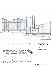

Throughout the home's interior the warm wood overhead that blankets every room is never overwhelming, but reinforces the sense of being in a natural environment. The repetitive lines in this first known central Canadian example of wooden hyperbolic paraboloid pull your gaze outward to the large windows and into the surrounding nature.

The roof looks complex yet is structurally simple. Built to carry a 50-pound snow load as well as its own load, the hyperbolic paraboloid is virtually self-supporting along the perimeter. A hyperbolic paraboloid is a series of non-parallel straight lines that are close together at one edge and farther apart at the finish edge (see illustration on page 14). Small beams projecting from the

core serve to transfer the thrust between each of these forms.

To create the straight non-parallel lines, chamfered tongue and groove 2-inch-by-4-inch spruce boards were placed against each other without leaving gaps. These were then nailed every sixteen inches on centre with 6-inch spikes, shifting the centres 8 inches with each successive board, creating continuous lines of steel reinforcing every 8 inches. The resulting shells form not only the structure but the interior ceiling surface as well. These were topped with 2-inch Styrofoam insulation (which has since been increased but at the time was a novel application) and a roofing membrane. The entire assembly is only 4 inches thick.

Section drawing shows the house straddling the two plateaus of the slope.

 $5GALE-$ 

 $\frac{1}{4}$  = 1 . O'

*Dessin en coupe de la maison chevauchant deux plateaux de la colline.*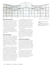

#### **GOING WITH THE FLOW**

The interior of the house is built on an open concept with few partitions. Many areas were designed to allow activities to flow from one space to another. For example, the partition between the children's rooms is actually a sliding door that, when open, converts the space into a playroom.

Strutt also designed many of the furnishings, playfully taking advantage of the geometries and still leaving wall and corner spaces to allow inhabitants to move things around.

# **STEPS ON THE ROAD**

The Strutt House project had several variations before its final version, starting with a small cottage in 1951. Its cloverleaf design was formed by three intersecting hexagons clad in local cedar. It had a hexagonal glass skylight in the centre, complete with a matching hexagonal translucent plastic outhouse. The family lived here for several years while Strutt designed the second version.

The second version had three interconnected space frame modules designed to straddle the three plateaus centred on the site. Strutt sent the plans to Buckminster Fuller, who enthusiastically encouraged Strutt to build the project. Nonetheless, Strutt stopped construction after the first foundation had been hand dug. He realized that, although true to Fuller's philosophies, the design was not appropriate to the site. And its size was not within his budget. This first foundation hole now serves as the swimming pool at the foot of the garden.

In the final design, Strutt used more conventional building methods and materials to achieve minimal weight for maximum structural integrity. The technique was different, but easily implemented. Nods to the original space frame design are included at the lowest plateau near the base of the hill and in the design of the carport built several years later.

In the June 1958 issue of Canadian Architect magazine Strutt explains that the experimental design used conventional millframe and mill-roof materials and building methods to allow for future applications. This structural system also offered more efficient construction: it was completed in just six weeks.

## **A PART OF THE LANDSCAPE**

Strutt felt this project represented his life's work. He was both surprised by and grateful to the Canada Mortgage and Housing Corporation for approving a mortgage for the house despite its unconventional design. This validated his work and gave him and his clients the confidence to try more exploratory architecture than was the norm—then or now.

Leaving the Strutt House and looking back up through the trees, the house is barely visible even though you know it's there. It appears to settle back into and project forward from the hill. It conveys an inclusive and inviting gesture that says both "welcome" and "come back soon."

Detailed drawing of south-facing elevation.

*Croquis détaillé de l'élévation sud.*